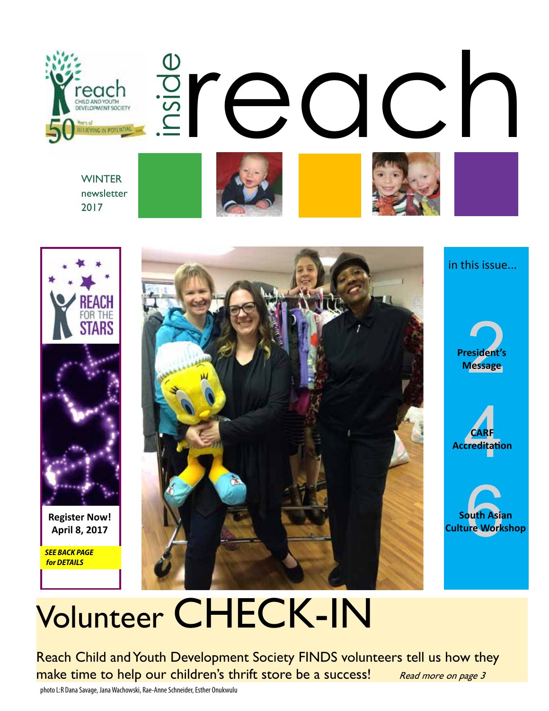



2017



**Register Now!** 

*SEE BACK PAGE for DETAILS*



in this issue...







# Volunteer CHECK-IN

Reach Child and Youth Development Society FINDS volunteers tell us how they make time to help our children's thrift store be a success! Read more on page 3

photo L:R Dana Savage, Jana Wachowski, Rae-Anne Schneider, Esther Onukwulu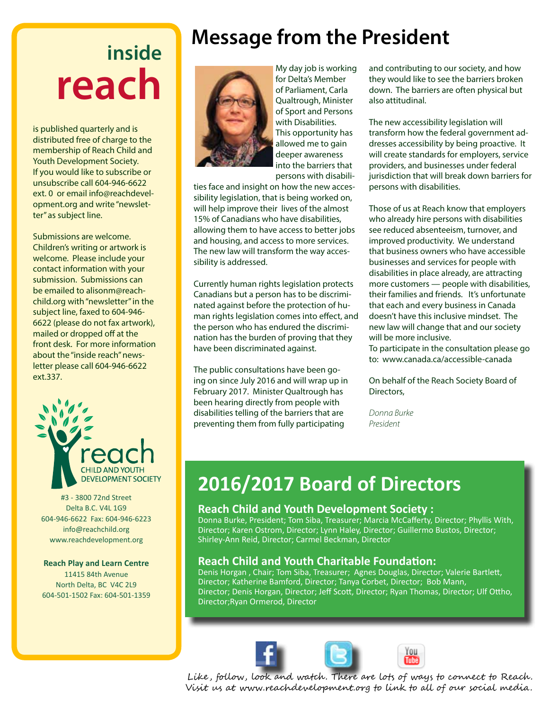## **inside reach**

is published quarterly and is distributed free of charge to the membership of Reach Child and Youth Development Society. If you would like to subscribe or unsubscribe call 604-946-6622 ext. 0 or email info@reachdevelopment.org and write "newsletter" as subject line.

Submissions are welcome. Children's writing or artwork is welcome. Please include your contact information with your submission. Submissions can be emailed to alisonm@reachchild.org with "newsletter" in the subject line, faxed to 604-946- 6622 (please do not fax artwork), mailed or dropped off at the front desk. For more information about the "inside reach" newsletter please call 604-946-6622 ext.337.



#3 - 3800 72nd Street Delta B.C. V4L 1G9 604-946-6622 Fax: 604-946-6223 info@reachchild.org www.reachdevelopment.org

#### **Reach Play and Learn Centre**

11415 84th Avenue North Delta, BC V4C 2L9 604-501-1502 Fax: 604-501-1359

### **Message from the President**



My day job is working for Delta's Member of Parliament, Carla Qualtrough, Minister of Sport and Persons with Disabilities. This opportunity has allowed me to gain deeper awareness into the barriers that persons with disabili-

ties face and insight on how the new accessibility legislation, that is being worked on, will help improve their lives of the almost 15% of Canadians who have disabilities, allowing them to have access to better jobs and housing, and access to more services. The new law will transform the way accessibility is addressed.

Currently human rights legislation protects Canadians but a person has to be discriminated against before the protection of human rights legislation comes into effect, and the person who has endured the discrimination has the burden of proving that they have been discriminated against.

The public consultations have been going on since July 2016 and will wrap up in February 2017. Minister Qualtrough has been hearing directly from people with disabilities telling of the barriers that are preventing them from fully participating

and contributing to our society, and how they would like to see the barriers broken down. The barriers are often physical but also attitudinal.

The new accessibility legislation will transform how the federal government addresses accessibility by being proactive. It will create standards for employers, service providers, and businesses under federal jurisdiction that will break down barriers for persons with disabilities.

Those of us at Reach know that employers who already hire persons with disabilities see reduced absenteeism, turnover, and improved productivity. We understand that business owners who have accessible businesses and services for people with disabilities in place already, are attracting more customers — people with disabilities, their families and friends. It's unfortunate that each and every business in Canada doesn't have this inclusive mindset. The new law will change that and our society will be more inclusive.

To participate in the consultation please go to: www.canada.ca/accessible-canada

On behalf of the Reach Society Board of Directors,

*Donna Burke President*

#### **2016/2017 Board of Directors**

#### **Reach Child and Youth Development Society :**

Donna Burke, President; Tom Siba, Treasurer; Marcia McCafferty, Director; Phyllis With, Director; Karen Ostrom, Director; Lynn Haley, Director; Guillermo Bustos, Director; Shirley-Ann Reid, Director; Carmel Beckman, Director

#### **Reach Child and Youth Charitable Foundation:**

Denis Horgan , Chair; Tom Siba, Treasurer; Agnes Douglas, Director; Valerie Bartlett, Director; Katherine Bamford, Director; Tanya Corbet, Director; Bob Mann, Director; Denis Horgan, Director; Jeff Scott, Director; Ryan Thomas, Director; Ulf Ottho, Director;Ryan Ormerod, Director





Like, follow, look and watch. There are lots of ways to connect to Reach. Visit us at www.reachdevelopment.org to link to all of our social media.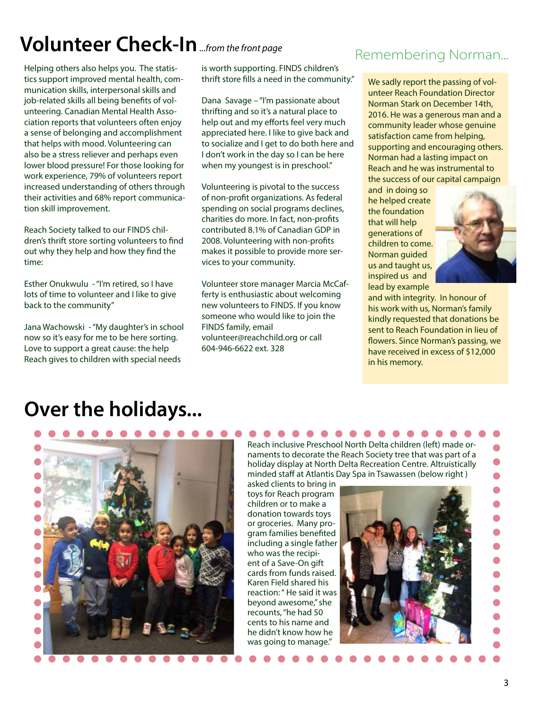## **Volunteer Check-In***...from the front page*

Helping others also helps you. The statistics support improved mental health, communication skills, interpersonal skills and job-related skills all being benefits of volunteering. Canadian Mental Health Association reports that volunteers often enjoy a sense of belonging and accomplishment that helps with mood. Volunteering can also be a stress reliever and perhaps even lower blood pressure! For those looking for work experience, 79% of volunteers report increased understanding of others through their activities and 68% report communication skill improvement.

Reach Society talked to our FINDS children's thrift store sorting volunteers to find out why they help and how they find the time:

Esther Onukwulu - "I'm retired, so I have lots of time to volunteer and I like to give back to the community"

Jana Wachowski - "My daughter's in school now so it's easy for me to be here sorting. Love to support a great cause: the help Reach gives to children with special needs

is worth supporting. FINDS children's thrift store fills a need in the community."

Dana Savage – "I'm passionate about thrifting and so it's a natural place to help out and my efforts feel very much appreciated here. I like to give back and to socialize and I get to do both here and I don't work in the day so I can be here when my youngest is in preschool."

Volunteering is pivotal to the success of non-profit organizations. As federal spending on social programs declines, charities do more. In fact, non-profits contributed 8.1% of Canadian GDP in 2008. Volunteering with non-profits makes it possible to provide more services to your community.

Volunteer store manager Marcia McCafferty is enthusiastic about welcoming new volunteers to FINDS. If you know someone who would like to join the FINDS family, email volunteer@reachchild.org or call 604-946-6622 ext. 328

#### Remembering Norman...

We sadly report the passing of volunteer Reach Foundation Director Norman Stark on December 14th, 2016. He was a generous man and a community leader whose genuine satisfaction came from helping, supporting and encouraging others. Norman had a lasting impact on Reach and he was instrumental to the success of our capital campaign

and in doing so he helped create the foundation that will help generations of children to come. Norman guided us and taught us, inspired us and lead by example



and with integrity. In honour of his work with us, Norman's family kindly requested that donations be sent to Reach Foundation in lieu of flowers. Since Norman's passing, we have received in excess of \$12,000 in his memory.

### **Over the holidays...**



Reach inclusive Preschool North Delta children (left) made ornaments to decorate the Reach Society tree that was part of a holiday display at North Delta Recreation Centre. Altruistically minded staff at Atlantis Day Spa in Tsawassen (below right )

asked clients to bring in toys for Reach program children or to make a donation towards toys or groceries. Many program families benefited including a single father who was the recipient of a Save-On gift cards from funds raised. Karen Field shared his reaction: " He said it was beyond awesome," she recounts, "he had 50 cents to his name and he didn't know how he was going to manage."

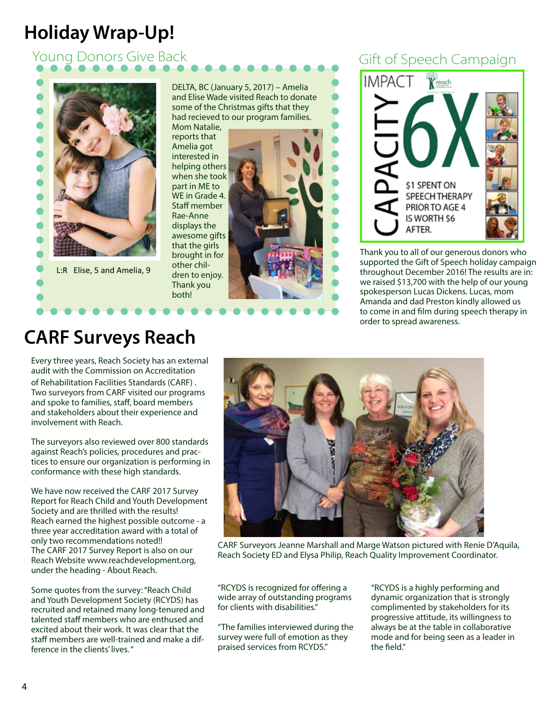#### **Holiday Wrap-Up!**

#### Young Donors Give Back Gift of Speech Campaign



DELTA, BC (January 5, 2017) – Amelia and Elise Wade visited Reach to donate some of the Christmas gifts that they had recieved to our program families.

Mom Natalie, reports that Amelia got interested in helping others when she took part in ME to WE in Grade 4. Staff member Rae-Anne displays the awesome gifts that the girls brought in for other children to enjoy. Thank you both!





Thank you to all of our generous donors who supported the Gift of Speech holiday campaign throughout December 2016! The results are in: we raised \$13,700 with the help of our young spokesperson Lucas Dickens. Lucas, mom Amanda and dad Preston kindly allowed us to come in and film during speech therapy in order to spread awareness.

#### **CARF Surveys Reach**

Every three years, Reach Society has an external audit with the Commission on Accreditation of Rehabilitation Facilities Standards (CARF) . Two surveyors from CARF visited our programs and spoke to families, staff, board members and stakeholders about their experience and involvement with Reach.

The surveyors also reviewed over 800 standards against Reach's policies, procedures and practices to ensure our organization is performing in conformance with these high standards.

We have now received the CARF 2017 Survey Report for Reach Child and Youth Development Society and are thrilled with the results! Reach earned the highest possible outcome - a three year accreditation award with a total of only two recommendations noted!! The CARF 2017 Survey Report is also on our Reach Website www.reachdevelopment.org, under the heading - About Reach.

Some quotes from the survey: "Reach Child and Youth Development Society (RCYDS) has recruited and retained many long-tenured and talented staff members who are enthused and excited about their work. It was clear that the staff members are well-trained and make a difference in the clients' lives. "



CARF Surveyors Jeanne Marshall and Marge Watson pictured with Renie D'Aquila, Reach Society ED and Elysa Philip, Reach Quality Improvement Coordinator.

"RCYDS is recognized for offering a wide array of outstanding programs for clients with disabilities."

"The families interviewed during the survey were full of emotion as they praised services from RCYDS."

"RCYDS is a highly performing and dynamic organization that is strongly complimented by stakeholders for its progressive attitude, its willingness to always be at the table in collaborative mode and for being seen as a leader in the field."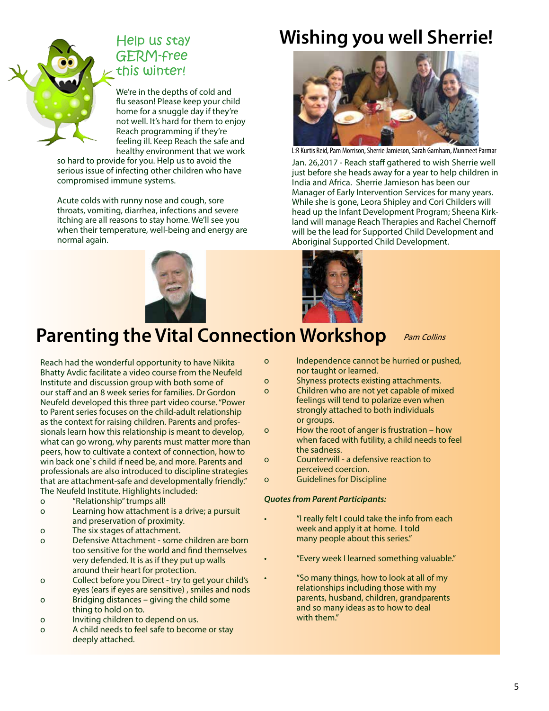

#### Help us stay GERM-free this winter!

We're in the depths of cold and flu season! Please keep your child home for a snuggle day if they're not well. It's hard for them to enjoy Reach programming if they're feeling ill. Keep Reach the safe and healthy environment that we work

so hard to provide for you. Help us to avoid the serious issue of infecting other children who have compromised immune systems.

Acute colds with runny nose and cough, sore throats, vomiting, diarrhea, infections and severe itching are all reasons to stay home. We'll see you when their temperature, well-being and energy are normal again.

### **Wishing you well Sherrie!**



Jan. 26,2017 - Reach staff gathered to wish Sherrie well just before she heads away for a year to help children in India and Africa. Sherrie Jamieson has been our Manager of Early Intervention Services for many years. While she is gone, Leora Shipley and Cori Childers will head up the Infant Development Program; Sheena Kirkland will manage Reach Therapies and Rachel Chernoff will be the lead for Supported Child Development and Aboriginal Supported Child Development. L:R Kurtis Reid, Pam Morrison, Sherrie Jamieson, Sarah Garnham, Munmeet Parmar





### **Parenting the Vital Connection Workshop** Pam Collins

Reach had the wonderful opportunity to have Nikita Bhatty Avdic facilitate a video course from the Neufeld Institute and discussion group with both some of our staff and an 8 week series for families. Dr Gordon Neufeld developed this three part video course. "Power to Parent series focuses on the child-adult relationship as the context for raising children. Parents and professionals learn how this relationship is meant to develop, what can go wrong, why parents must matter more than peers, how to cultivate a context of connection, how to win back one`s child if need be, and more. Parents and professionals are also introduced to discipline strategies that are attachment-safe and developmentally friendly." The Neufeld Institute. Highlights included:

- o "Relationship" trumps all!
- o Learning how attachment is a drive; a pursuit and preservation of proximity.
- o The six stages of attachment.
- o Defensive Attachment some children are born too sensitive for the world and find themselves very defended. It is as if they put up walls around their heart for protection.
- o Collect before you Direct try to get your child's eyes (ears if eyes are sensitive) , smiles and nods
- o Bridging distances giving the child some thing to hold on to.
- o Inviting children to depend on us.
- o A child needs to feel safe to become or stay deeply attached.
- o Independence cannot be hurried or pushed, nor taught or learned.
- o Shyness protects existing attachments.
- o Children who are not yet capable of mixed feelings will tend to polarize even when strongly attached to both individuals or groups.
- o How the root of anger is frustration how when faced with futility, a child needs to feel the sadness.
- o Counterwill a defensive reaction to perceived coercion.
- o Guidelines for Discipline

#### *Quotes from Parent Participants:*

- "I really felt I could take the info from each week and apply it at home. I told many people about this series."
	- "Every week I learned something valuable."
	- "So many things, how to look at all of my relationships including those with my parents, husband, children, grandparents and so many ideas as to how to deal with them."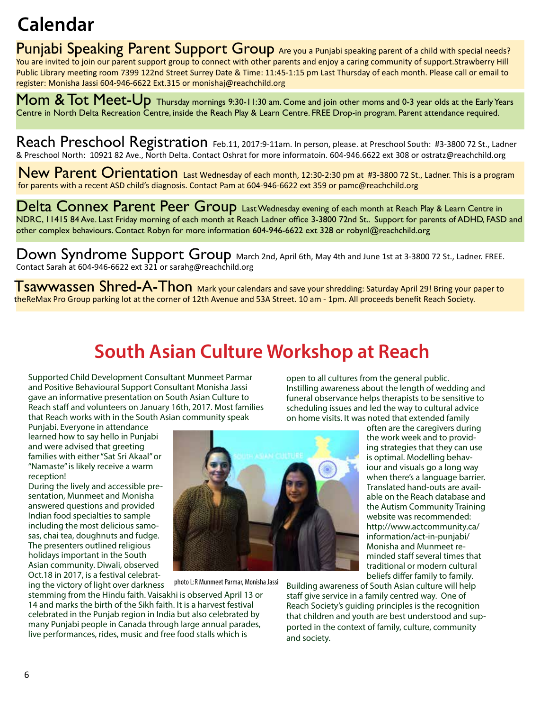#### **Calendar**

Punjabi Speaking Parent Support Group Are you a Punjabi speaking parent of a child with special needs? You are invited to join our parent support group to connect with other parents and enjoy a caring community of support.Strawberry Hill Public Library meeting room 7399 122nd Street Surrey Date & Time: 11:45-1:15 pm Last Thursday of each month. Please call or email to register: Monisha Jassi 604-946-6622 Ext.315 or monishaj@reachchild.org

Mom  $\&$  Tot Meet-Up Thursday mornings 9:30-11:30 am. Come and join other moms and 0-3 year olds at the Early Years Centre in North Delta Recreation Centre, inside the Reach Play & Learn Centre. FREE Drop-in program. Parent attendance required.

Reach Preschool Registration Feb.11, 2017:9-11am. In person, please. at Preschool South: #3-3800 72 St., Ladner & Preschool North: 10921 82 Ave., North Delta. Contact Oshrat for more informatoin. 604-946.6622 ext 308 or ostratz@reachchild.org

New Parent Orientation Last Wednesday of each month, 12:30-2:30 pm at #3-3800 72 St., Ladner. This is a program for parents with a recent ASD child's diagnosis. Contact Pam at 604-946-6622 ext 359 or pamc@reachchild.org

Delta Connex Parent Peer Group Last Wednesday evening of each month at Reach Play & Learn Centre in NDRC, 11415 84 Ave. Last Friday morning of each month at Reach Ladner office 3-3800 72nd St.. Support for parents of ADHD, FASD and other complex behaviours. Contact Robyn for more information 604-946-6622 ext 328 or robynl@reachchild.org

Down Syndrome Support Group March 2nd, April 6th, May 4th and June 1st at 3-3800 72 St., Ladner. FREE. Contact Sarah at 604-946-6622 ext 321 or sarahg@reachchild.org

Tsawwassen Shred-A-Thon Mark your calendars and save your shredding: Saturday April 29! Bring your paper to theReMax Pro Group parking lot at the corner of 12th Avenue and 53A Street. 10 am - 1pm. All proceeds benefit Reach Society.

#### **South Asian Culture Workshop at Reach**

Supported Child Development Consultant Munmeet Parmar and Positive Behavioural Support Consultant Monisha Jassi gave an informative presentation on South Asian Culture to Reach staff and volunteers on January 16th, 2017. Most families that Reach works with in the South Asian community speak

Punjabi. Everyone in attendance learned how to say hello in Punjabi and were advised that greeting families with either "Sat Sri Akaal" or "Namaste" is likely receive a warm reception!

During the lively and accessible presentation, Munmeet and Monisha answered questions and provided Indian food specialties to sample including the most delicious samosas, chai tea, doughnuts and fudge. The presenters outlined religious holidays important in the South Asian community. Diwali, observed Oct.18 in 2017, is a festival celebrating the victory of light over darkness



photo L:R Munmeet Parmar, Monisha Jassi

stemming from the Hindu faith. Vaisakhi is observed April 13 or 14 and marks the birth of the Sikh faith. It is a harvest festival celebrated in the Punjab region in India but also celebrated by many Punjabi people in Canada through large annual parades, live performances, rides, music and free food stalls which is

open to all cultures from the general public. Instilling awareness about the length of wedding and funeral observance helps therapists to be sensitive to scheduling issues and led the way to cultural advice on home visits. It was noted that extended family

> often are the caregivers during the work week and to providing strategies that they can use is optimal. Modelling behaviour and visuals go a long way when there's a language barrier. Translated hand-outs are available on the Reach database and the Autism Community Training website was recommended: http://www.actcommunity.ca/ information/act-in-punjabi/ Monisha and Munmeet reminded staff several times that traditional or modern cultural beliefs differ family to family.

Building awareness of South Asian culture will help staff give service in a family centred way. One of Reach Society's guiding principles is the recognition that children and youth are best understood and supported in the context of family, culture, community and society.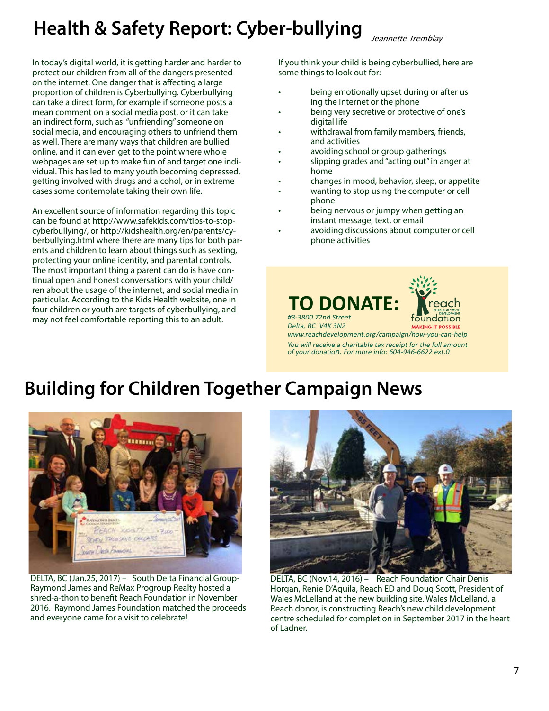### **Health & Safety Report: Cyber-bullying**

In today's digital world, it is getting harder and harder to protect our children from all of the dangers presented on the internet. One danger that is affecting a large proportion of children is Cyberbullying. Cyberbullying can take a direct form, for example if someone posts a mean comment on a social media post, or it can take an indirect form, such as "unfriending" someone on social media, and encouraging others to unfriend them as well. There are many ways that children are bullied online, and it can even get to the point where whole webpages are set up to make fun of and target one individual. This has led to many youth becoming depressed, getting involved with drugs and alcohol, or in extreme cases some contemplate taking their own life.

An excellent source of information regarding this topic can be found at http://www.safekids.com/tips-to-stopcyberbullying/, or http://kidshealth.org/en/parents/cyberbullying.html where there are many tips for both parents and children to learn about things such as sexting, protecting your online identity, and parental controls. The most important thing a parent can do is have continual open and honest conversations with your child/ ren about the usage of the internet, and social media in particular. According to the Kids Health website, one in four children or youth are targets of cyberbullying, and may not feel comfortable reporting this to an adult.

If you think your child is being cyberbullied, here are some things to look out for:

- being emotionally upset during or after us ing the Internet or the phone
- being very secretive or protective of one's digital life
- withdrawal from family members, friends, and activities
- avoiding school or group gatherings
- slipping grades and "acting out" in anger at home
- changes in mood, behavior, sleep, or appetite
- wanting to stop using the computer or cell phone
- being nervous or jumpy when getting an instant message, text, or email
- avoiding discussions about computer or cell phone activities





Delta, BC V4K 3N2 www.reachdevelopment.org/campaign/how-you-can-help

You will receive a charitable tax receipt for the full amount of your donation. For more info: 604-946-6622 ext.0

#### **Building for Children Together Campaign News**



DELTA, BC (Jan.25, 2017) – South Delta Financial Group-Raymond James and ReMax Progroup Realty hosted a shred-a-thon to benefit Reach Foundation in November 2016. Raymond James Foundation matched the proceeds and everyone came for a visit to celebrate!



DELTA, BC (Nov.14, 2016) – Reach Foundation Chair Denis Horgan, Renie D'Aquila, Reach ED and Doug Scott, President of Wales McLelland at the new building site. Wales McLelland, a Reach donor, is constructing Reach's new child development centre scheduled for completion in September 2017 in the heart of Ladner.